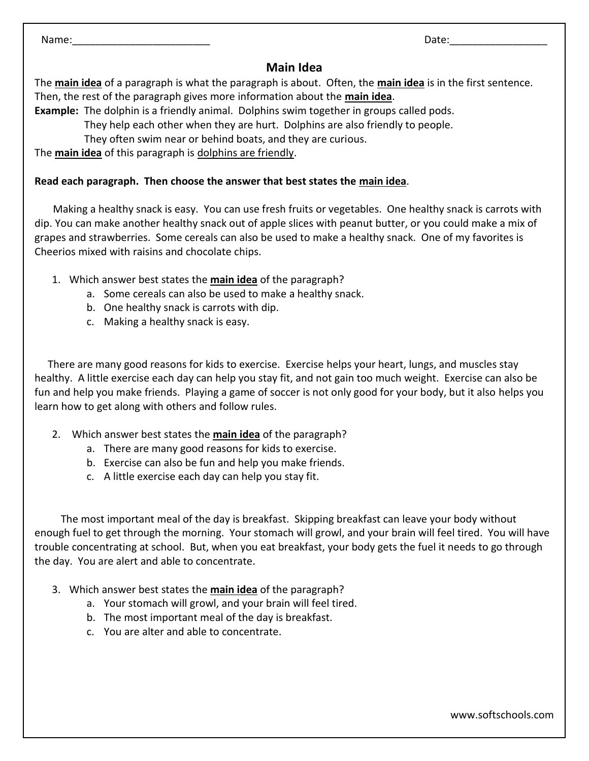Name:\_\_\_\_\_\_\_\_\_\_\_\_\_\_\_\_\_\_\_\_\_\_\_\_ Date:\_\_\_\_\_\_\_\_\_\_\_\_\_\_\_\_\_

## **Main Idea**

The **main idea** of a paragraph is what the paragraph is about. Often, the **main idea** is in the first sentence. Then, the rest of the paragraph gives more information about the **main idea**.

**Example:** The dolphin is a friendly animal. Dolphins swim together in groups called pods.

They help each other when they are hurt. Dolphins are also friendly to people.

They often swim near or behind boats, and they are curious.

The **main idea** of this paragraph is dolphins are friendly.

## **Read each paragraph. Then choose the answer that best states the main idea**.

 Making a healthy snack is easy. You can use fresh fruits or vegetables. One healthy snack is carrots with dip. You can make another healthy snack out of apple slices with peanut butter, or you could make a mix of grapes and strawberries. Some cereals can also be used to make a healthy snack. One of my favorites is Cheerios mixed with raisins and chocolate chips.

- 1. Which answer best states the **main idea** of the paragraph?
	- a. Some cereals can also be used to make a healthy snack.
	- b. One healthy snack is carrots with dip.
	- c. Making a healthy snack is easy.

 There are many good reasons for kids to exercise. Exercise helps your heart, lungs, and muscles stay healthy. A little exercise each day can help you stay fit, and not gain too much weight. Exercise can also be fun and help you make friends. Playing a game of soccer is not only good for your body, but it also helps you learn how to get along with others and follow rules.

- 2. Which answer best states the **main idea** of the paragraph?
	- a. There are many good reasons for kids to exercise.
	- b. Exercise can also be fun and help you make friends.
	- c. A little exercise each day can help you stay fit.

 The most important meal of the day is breakfast. Skipping breakfast can leave your body without enough fuel to get through the morning. Your stomach will growl, and your brain will feel tired. You will have trouble concentrating at school. But, when you eat breakfast, your body gets the fuel it needs to go through the day. You are alert and able to concentrate.

- 3. Which answer best states the **main idea** of the paragraph?
	- a. Your stomach will growl, and your brain will feel tired.
	- b. The most important meal of the day is breakfast.
	- c. You are alter and able to concentrate.